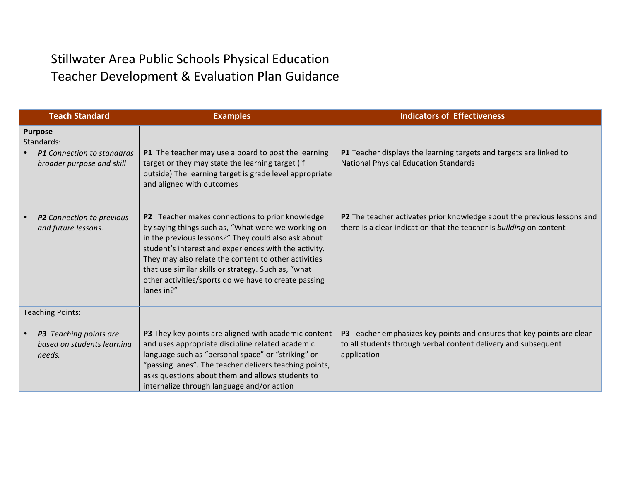## Stillwater Area Public Schools Physical Education Teacher Development & Evaluation Plan Guidance

| <b>Teach Standard</b>                                                                          | <b>Examples</b>                                                                                                                                                                                                                                                                                                                                                                                            | <b>Indicators of Effectiveness</b>                                                                                                                      |
|------------------------------------------------------------------------------------------------|------------------------------------------------------------------------------------------------------------------------------------------------------------------------------------------------------------------------------------------------------------------------------------------------------------------------------------------------------------------------------------------------------------|---------------------------------------------------------------------------------------------------------------------------------------------------------|
| <b>Purpose</b><br>Standards:<br><b>P1</b> Connection to standards<br>broader purpose and skill | P1 The teacher may use a board to post the learning<br>target or they may state the learning target (if<br>outside) The learning target is grade level appropriate<br>and aligned with outcomes                                                                                                                                                                                                            | P1 Teacher displays the learning targets and targets are linked to<br><b>National Physical Education Standards</b>                                      |
| P2 Connection to previous<br>and future lessons.                                               | P2 Teacher makes connections to prior knowledge<br>by saying things such as, "What were we working on<br>in the previous lessons?" They could also ask about<br>student's interest and experiences with the activity.<br>They may also relate the content to other activities<br>that use similar skills or strategy. Such as, "what<br>other activities/sports do we have to create passing<br>lanes in?" | P2 The teacher activates prior knowledge about the previous lessons and<br>there is a clear indication that the teacher is building on content          |
| <b>Teaching Points:</b>                                                                        |                                                                                                                                                                                                                                                                                                                                                                                                            |                                                                                                                                                         |
| P3 Teaching points are<br>based on students learning<br>needs.                                 | P3 They key points are aligned with academic content<br>and uses appropriate discipline related academic<br>language such as "personal space" or "striking" or<br>"passing lanes". The teacher delivers teaching points,<br>asks questions about them and allows students to<br>internalize through language and/or action                                                                                 | P3 Teacher emphasizes key points and ensures that key points are clear<br>to all students through verbal content delivery and subsequent<br>application |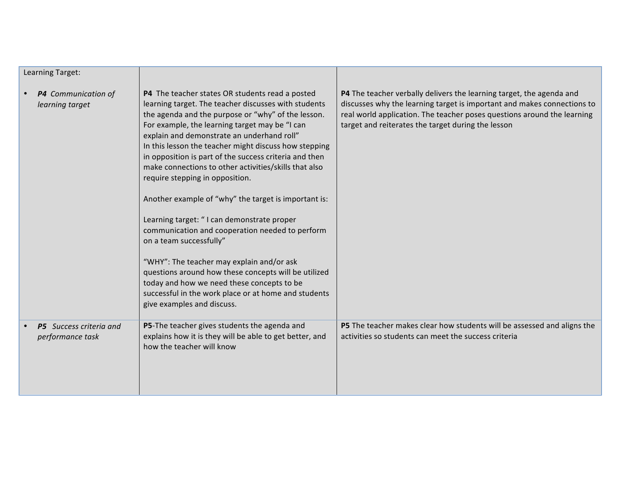| Learning Target:                            |                                                                                                                                                                                                                                                                                                                                                                                                                                                                                                                                                                                                                                                                                                                                                                                                                                                                                                           |                                                                                                                                                                                                                                                                                         |
|---------------------------------------------|-----------------------------------------------------------------------------------------------------------------------------------------------------------------------------------------------------------------------------------------------------------------------------------------------------------------------------------------------------------------------------------------------------------------------------------------------------------------------------------------------------------------------------------------------------------------------------------------------------------------------------------------------------------------------------------------------------------------------------------------------------------------------------------------------------------------------------------------------------------------------------------------------------------|-----------------------------------------------------------------------------------------------------------------------------------------------------------------------------------------------------------------------------------------------------------------------------------------|
| P4 Communication of<br>learning target      | P4 The teacher states OR students read a posted<br>learning target. The teacher discusses with students<br>the agenda and the purpose or "why" of the lesson.<br>For example, the learning target may be "I can<br>explain and demonstrate an underhand roll"<br>In this lesson the teacher might discuss how stepping<br>in opposition is part of the success criteria and then<br>make connections to other activities/skills that also<br>require stepping in opposition.<br>Another example of "why" the target is important is:<br>Learning target: "I can demonstrate proper<br>communication and cooperation needed to perform<br>on a team successfully"<br>"WHY": The teacher may explain and/or ask<br>questions around how these concepts will be utilized<br>today and how we need these concepts to be<br>successful in the work place or at home and students<br>give examples and discuss. | <b>P4</b> The teacher verbally delivers the learning target, the agenda and<br>discusses why the learning target is important and makes connections to<br>real world application. The teacher poses questions around the learning<br>target and reiterates the target during the lesson |
| P5 Success criteria and<br>performance task | P5-The teacher gives students the agenda and<br>explains how it is they will be able to get better, and<br>how the teacher will know                                                                                                                                                                                                                                                                                                                                                                                                                                                                                                                                                                                                                                                                                                                                                                      | P5 The teacher makes clear how students will be assessed and aligns the<br>activities so students can meet the success criteria                                                                                                                                                         |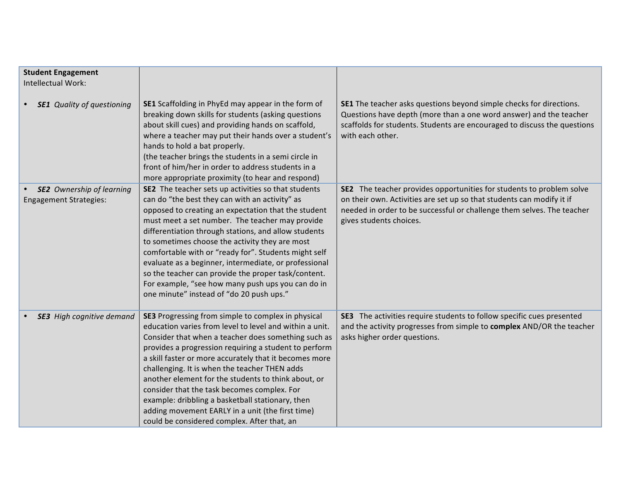| <b>Student Engagement</b><br>Intellectual Work:                   |                                                                                                                                                                                                                                                                                                                                                                                                                                                                                                                                                                                                       |                                                                                                                                                                                                                                                    |
|-------------------------------------------------------------------|-------------------------------------------------------------------------------------------------------------------------------------------------------------------------------------------------------------------------------------------------------------------------------------------------------------------------------------------------------------------------------------------------------------------------------------------------------------------------------------------------------------------------------------------------------------------------------------------------------|----------------------------------------------------------------------------------------------------------------------------------------------------------------------------------------------------------------------------------------------------|
|                                                                   |                                                                                                                                                                                                                                                                                                                                                                                                                                                                                                                                                                                                       |                                                                                                                                                                                                                                                    |
| <b>SE1</b> Quality of questioning                                 | SE1 Scaffolding in PhyEd may appear in the form of<br>breaking down skills for students (asking questions<br>about skill cues) and providing hands on scaffold,<br>where a teacher may put their hands over a student's<br>hands to hold a bat properly.<br>(the teacher brings the students in a semi circle in<br>front of him/her in order to address students in a<br>more appropriate proximity (to hear and respond)                                                                                                                                                                            | SE1 The teacher asks questions beyond simple checks for directions.<br>Questions have depth (more than a one word answer) and the teacher<br>scaffolds for students. Students are encouraged to discuss the questions<br>with each other.          |
| <b>SE2</b> Ownership of learning<br><b>Engagement Strategies:</b> | SE2 The teacher sets up activities so that students<br>can do "the best they can with an activity" as<br>opposed to creating an expectation that the student<br>must meet a set number. The teacher may provide<br>differentiation through stations, and allow students<br>to sometimes choose the activity they are most<br>comfortable with or "ready for". Students might self<br>evaluate as a beginner, intermediate, or professional<br>so the teacher can provide the proper task/content.<br>For example, "see how many push ups you can do in<br>one minute" instead of "do 20 push ups."    | SE2 The teacher provides opportunities for students to problem solve<br>on their own. Activities are set up so that students can modify it if<br>needed in order to be successful or challenge them selves. The teacher<br>gives students choices. |
| <b>SE3</b> High cognitive demand                                  | SE3 Progressing from simple to complex in physical<br>education varies from level to level and within a unit.<br>Consider that when a teacher does something such as<br>provides a progression requiring a student to perform<br>a skill faster or more accurately that it becomes more<br>challenging. It is when the teacher THEN adds<br>another element for the students to think about, or<br>consider that the task becomes complex. For<br>example: dribbling a basketball stationary, then<br>adding movement EARLY in a unit (the first time)<br>could be considered complex. After that, an | SE3 The activities require students to follow specific cues presented<br>and the activity progresses from simple to complex AND/OR the teacher<br>asks higher order questions.                                                                     |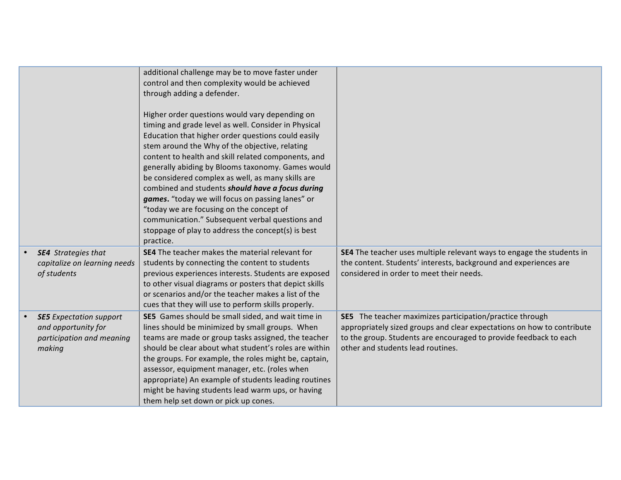|                                                                                              | additional challenge may be to move faster under<br>control and then complexity would be achieved<br>through adding a defender.<br>Higher order questions would vary depending on<br>timing and grade level as well. Consider in Physical<br>Education that higher order questions could easily<br>stem around the Why of the objective, relating<br>content to health and skill related components, and<br>generally abiding by Blooms taxonomy. Games would<br>be considered complex as well, as many skills are<br>combined and students should have a focus during<br>games. "today we will focus on passing lanes" or<br>"today we are focusing on the concept of<br>communication." Subsequent verbal questions and<br>stoppage of play to address the concept(s) is best<br>practice. |                                                                                                                                                                                                                                                     |
|----------------------------------------------------------------------------------------------|----------------------------------------------------------------------------------------------------------------------------------------------------------------------------------------------------------------------------------------------------------------------------------------------------------------------------------------------------------------------------------------------------------------------------------------------------------------------------------------------------------------------------------------------------------------------------------------------------------------------------------------------------------------------------------------------------------------------------------------------------------------------------------------------|-----------------------------------------------------------------------------------------------------------------------------------------------------------------------------------------------------------------------------------------------------|
| <b>SE4</b> Strategies that<br>capitalize on learning needs<br>of students                    | SE4 The teacher makes the material relevant for<br>students by connecting the content to students<br>previous experiences interests. Students are exposed<br>to other visual diagrams or posters that depict skills<br>or scenarios and/or the teacher makes a list of the<br>cues that they will use to perform skills properly.                                                                                                                                                                                                                                                                                                                                                                                                                                                            | SE4 The teacher uses multiple relevant ways to engage the students in<br>the content. Students' interests, background and experiences are<br>considered in order to meet their needs.                                                               |
| <b>SE5</b> Expectation support<br>and opportunity for<br>participation and meaning<br>making | SE5 Games should be small sided, and wait time in<br>lines should be minimized by small groups. When<br>teams are made or group tasks assigned, the teacher<br>should be clear about what student's roles are within<br>the groups. For example, the roles might be, captain,<br>assessor, equipment manager, etc. (roles when<br>appropriate) An example of students leading routines<br>might be having students lead warm ups, or having<br>them help set down or pick up cones.                                                                                                                                                                                                                                                                                                          | <b>SE5</b> The teacher maximizes participation/practice through<br>appropriately sized groups and clear expectations on how to contribute<br>to the group. Students are encouraged to provide feedback to each<br>other and students lead routines. |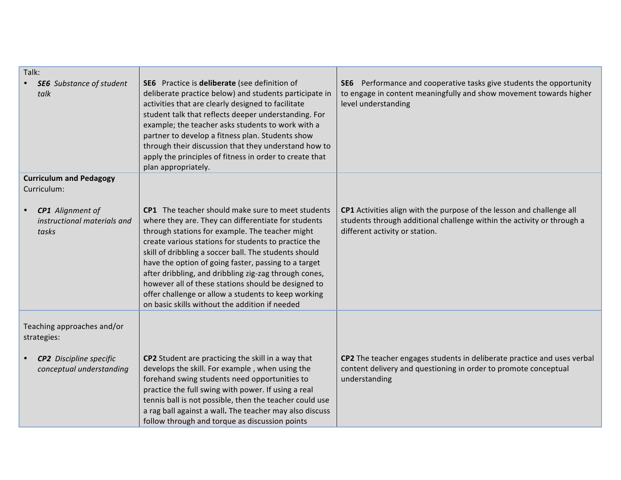| Talk:<br><b>SE6</b> Substance of student<br>talk                | SE6 Practice is deliberate (see definition of<br>deliberate practice below) and students participate in<br>activities that are clearly designed to facilitate<br>student talk that reflects deeper understanding. For<br>example; the teacher asks students to work with a<br>partner to develop a fitness plan. Students show<br>through their discussion that they understand how to<br>apply the principles of fitness in order to create that<br>plan appropriately.                                                                                      | SE6 Performance and cooperative tasks give students the opportunity<br>to engage in content meaningfully and show movement towards higher<br>level understanding                  |
|-----------------------------------------------------------------|---------------------------------------------------------------------------------------------------------------------------------------------------------------------------------------------------------------------------------------------------------------------------------------------------------------------------------------------------------------------------------------------------------------------------------------------------------------------------------------------------------------------------------------------------------------|-----------------------------------------------------------------------------------------------------------------------------------------------------------------------------------|
| <b>Curriculum and Pedagogy</b><br>Curriculum:                   |                                                                                                                                                                                                                                                                                                                                                                                                                                                                                                                                                               |                                                                                                                                                                                   |
| <b>CP1</b> Alignment of<br>instructional materials and<br>tasks | CP1 The teacher should make sure to meet students<br>where they are. They can differentiate for students<br>through stations for example. The teacher might<br>create various stations for students to practice the<br>skill of dribbling a soccer ball. The students should<br>have the option of going faster, passing to a target<br>after dribbling, and dribbling zig-zag through cones,<br>however all of these stations should be designed to<br>offer challenge or allow a students to keep working<br>on basic skills without the addition if needed | CP1 Activities align with the purpose of the lesson and challenge all<br>students through additional challenge within the activity or through a<br>different activity or station. |
| Teaching approaches and/or<br>strategies:                       |                                                                                                                                                                                                                                                                                                                                                                                                                                                                                                                                                               |                                                                                                                                                                                   |
| <b>CP2</b> Discipline specific<br>conceptual understanding      | CP2 Student are practicing the skill in a way that<br>develops the skill. For example, when using the<br>forehand swing students need opportunities to<br>practice the full swing with power. If using a real<br>tennis ball is not possible, then the teacher could use<br>a rag ball against a wall. The teacher may also discuss<br>follow through and torque as discussion points                                                                                                                                                                         | CP2 The teacher engages students in deliberate practice and uses verbal<br>content delivery and questioning in order to promote conceptual<br>understanding                       |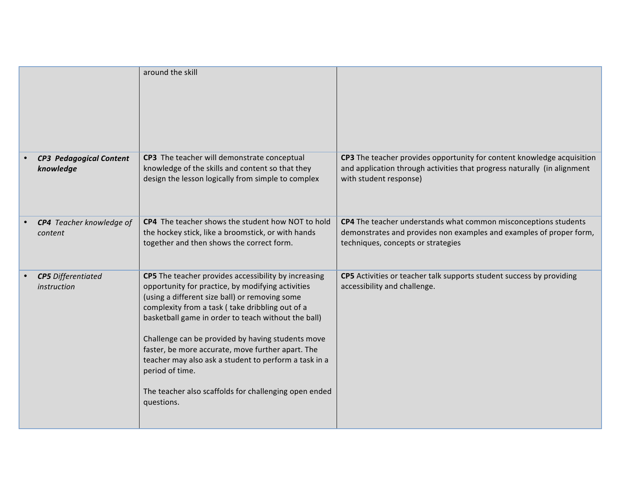|                                             | around the skill                                                                                                                                                                                                                                                                                                                                                                                                                                                                                                                   |                                                                                                                                                                              |
|---------------------------------------------|------------------------------------------------------------------------------------------------------------------------------------------------------------------------------------------------------------------------------------------------------------------------------------------------------------------------------------------------------------------------------------------------------------------------------------------------------------------------------------------------------------------------------------|------------------------------------------------------------------------------------------------------------------------------------------------------------------------------|
| <b>CP3 Pedagogical Content</b><br>knowledge | CP3 The teacher will demonstrate conceptual<br>knowledge of the skills and content so that they<br>design the lesson logically from simple to complex                                                                                                                                                                                                                                                                                                                                                                              | CP3 The teacher provides opportunity for content knowledge acquisition<br>and application through activities that progress naturally (in alignment<br>with student response) |
| CP4 Teacher knowledge of<br>content         | CP4 The teacher shows the student how NOT to hold<br>the hockey stick, like a broomstick, or with hands<br>together and then shows the correct form.                                                                                                                                                                                                                                                                                                                                                                               | CP4 The teacher understands what common misconceptions students<br>demonstrates and provides non examples and examples of proper form,<br>techniques, concepts or strategies |
| <b>CP5</b> Differentiated<br>instruction    | CP5 The teacher provides accessibility by increasing<br>opportunity for practice, by modifying activities<br>(using a different size ball) or removing some<br>complexity from a task (take dribbling out of a<br>basketball game in order to teach without the ball)<br>Challenge can be provided by having students move<br>faster, be more accurate, move further apart. The<br>teacher may also ask a student to perform a task in a<br>period of time.<br>The teacher also scaffolds for challenging open ended<br>questions. | CP5 Activities or teacher talk supports student success by providing<br>accessibility and challenge.                                                                         |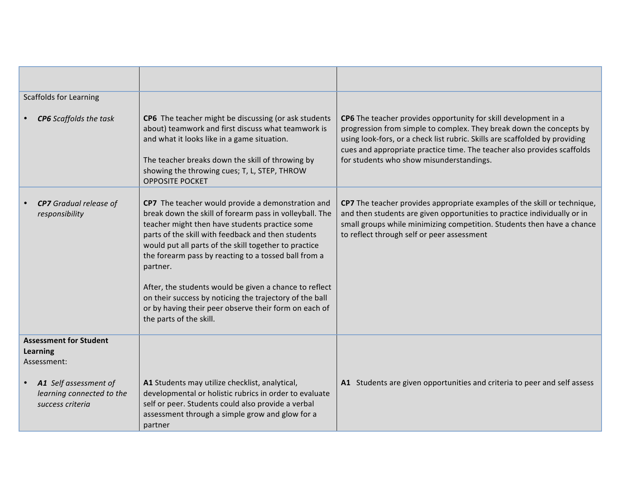| <b>Scaffolds for Learning</b>                                                                                                             |                                                                                                                                                                                                                                                                                                                                                                                                                                                                                                                                                            |                                                                                                                                                                                                                                                                                                                                              |
|-------------------------------------------------------------------------------------------------------------------------------------------|------------------------------------------------------------------------------------------------------------------------------------------------------------------------------------------------------------------------------------------------------------------------------------------------------------------------------------------------------------------------------------------------------------------------------------------------------------------------------------------------------------------------------------------------------------|----------------------------------------------------------------------------------------------------------------------------------------------------------------------------------------------------------------------------------------------------------------------------------------------------------------------------------------------|
| <b>CP6</b> Scaffolds the task                                                                                                             | CP6 The teacher might be discussing (or ask students<br>about) teamwork and first discuss what teamwork is<br>and what it looks like in a game situation.<br>The teacher breaks down the skill of throwing by<br>showing the throwing cues; T, L, STEP, THROW<br><b>OPPOSITE POCKET</b>                                                                                                                                                                                                                                                                    | CP6 The teacher provides opportunity for skill development in a<br>progression from simple to complex. They break down the concepts by<br>using look-fors, or a check list rubric. Skills are scaffolded by providing<br>cues and appropriate practice time. The teacher also provides scaffolds<br>for students who show misunderstandings. |
| <b>CP7</b> Gradual release of<br>responsibility                                                                                           | CP7 The teacher would provide a demonstration and<br>break down the skill of forearm pass in volleyball. The<br>teacher might then have students practice some<br>parts of the skill with feedback and then students<br>would put all parts of the skill together to practice<br>the forearm pass by reacting to a tossed ball from a<br>partner.<br>After, the students would be given a chance to reflect<br>on their success by noticing the trajectory of the ball<br>or by having their peer observe their form on each of<br>the parts of the skill. | CP7 The teacher provides appropriate examples of the skill or technique,<br>and then students are given opportunities to practice individually or in<br>small groups while minimizing competition. Students then have a chance<br>to reflect through self or peer assessment                                                                 |
| <b>Assessment for Student</b><br><b>Learning</b><br>Assessment:<br>A1 Self assessment of<br>learning connected to the<br>success criteria | A1 Students may utilize checklist, analytical,<br>developmental or holistic rubrics in order to evaluate<br>self or peer. Students could also provide a verbal                                                                                                                                                                                                                                                                                                                                                                                             | A1 Students are given opportunities and criteria to peer and self assess                                                                                                                                                                                                                                                                     |
|                                                                                                                                           | assessment through a simple grow and glow for a<br>partner                                                                                                                                                                                                                                                                                                                                                                                                                                                                                                 |                                                                                                                                                                                                                                                                                                                                              |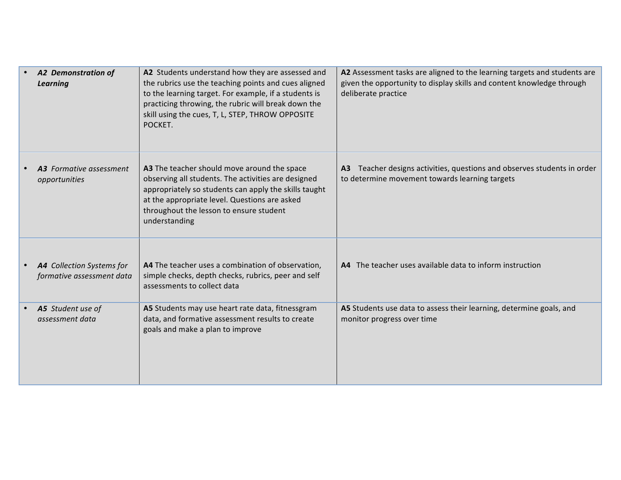| <b>A2 Demonstration of</b><br><b>Learning</b>          | A2 Students understand how they are assessed and<br>the rubrics use the teaching points and cues aligned<br>to the learning target. For example, if a students is<br>practicing throwing, the rubric will break down the<br>skill using the cues, T, L, STEP, THROW OPPOSITE<br>POCKET. | A2 Assessment tasks are aligned to the learning targets and students are<br>given the opportunity to display skills and content knowledge through<br>deliberate practice |
|--------------------------------------------------------|-----------------------------------------------------------------------------------------------------------------------------------------------------------------------------------------------------------------------------------------------------------------------------------------|--------------------------------------------------------------------------------------------------------------------------------------------------------------------------|
| <b>A3</b> Formative assessment<br>opportunities        | A3 The teacher should move around the space<br>observing all students. The activities are designed<br>appropriately so students can apply the skills taught<br>at the appropriate level. Questions are asked<br>throughout the lesson to ensure student<br>understanding                | Teacher designs activities, questions and observes students in order<br>A3<br>to determine movement towards learning targets                                             |
| A4 Collection Systems for<br>formative assessment data | A4 The teacher uses a combination of observation,<br>simple checks, depth checks, rubrics, peer and self<br>assessments to collect data                                                                                                                                                 | A4 The teacher uses available data to inform instruction                                                                                                                 |
| A5 Student use of<br>assessment data                   | A5 Students may use heart rate data, fitnessgram<br>data, and formative assessment results to create<br>goals and make a plan to improve                                                                                                                                                | A5 Students use data to assess their learning, determine goals, and<br>monitor progress over time                                                                        |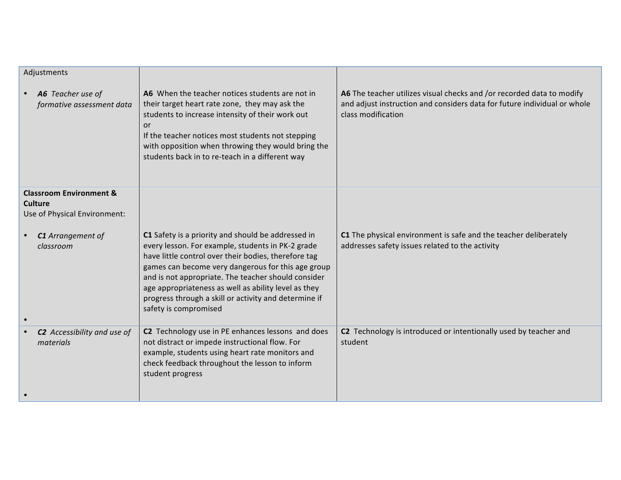| Adjustments                                                                          |                                                                                                                                                                                                                                                                                                                                                                                                                        |                                                                                                                                                                         |
|--------------------------------------------------------------------------------------|------------------------------------------------------------------------------------------------------------------------------------------------------------------------------------------------------------------------------------------------------------------------------------------------------------------------------------------------------------------------------------------------------------------------|-------------------------------------------------------------------------------------------------------------------------------------------------------------------------|
| A6 Teacher use of<br>formative assessment data                                       | A6 When the teacher notices students are not in<br>their target heart rate zone, they may ask the<br>students to increase intensity of their work out<br>or<br>If the teacher notices most students not stepping<br>with opposition when throwing they would bring the<br>students back in to re-teach in a different way                                                                                              | A6 The teacher utilizes visual checks and /or recorded data to modify<br>and adjust instruction and considers data for future individual or whole<br>class modification |
| <b>Classroom Environment &amp;</b><br><b>Culture</b><br>Use of Physical Environment: |                                                                                                                                                                                                                                                                                                                                                                                                                        |                                                                                                                                                                         |
| C1 Arrangement of<br>classroom                                                       | C1 Safety is a priority and should be addressed in<br>every lesson. For example, students in PK-2 grade<br>have little control over their bodies, therefore tag<br>games can become very dangerous for this age group<br>and is not appropriate. The teacher should consider<br>age appropriateness as well as ability level as they<br>progress through a skill or activity and determine if<br>safety is compromised | C1 The physical environment is safe and the teacher deliberately<br>addresses safety issues related to the activity                                                     |
| C2 Accessibility and use of<br>materials                                             | C2 Technology use in PE enhances lessons and does<br>not distract or impede instructional flow. For<br>example, students using heart rate monitors and<br>check feedback throughout the lesson to inform<br>student progress                                                                                                                                                                                           | C2 Technology is introduced or intentionally used by teacher and<br>student                                                                                             |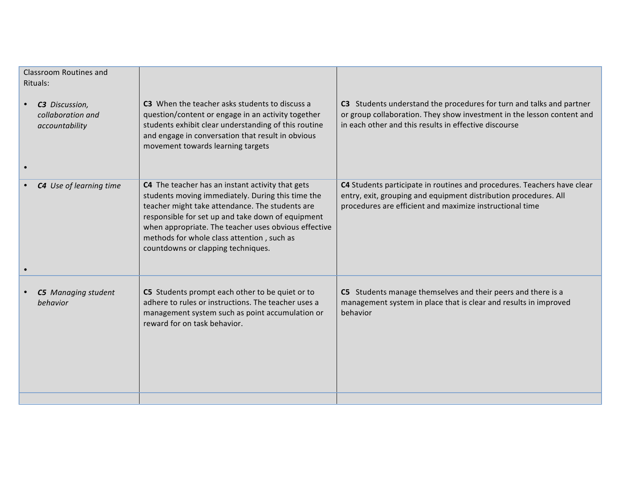| <b>Classroom Routines and</b><br>Rituals:             |                                                                                                                                                                                                                                                                                                                                                           |                                                                                                                                                                                                         |
|-------------------------------------------------------|-----------------------------------------------------------------------------------------------------------------------------------------------------------------------------------------------------------------------------------------------------------------------------------------------------------------------------------------------------------|---------------------------------------------------------------------------------------------------------------------------------------------------------------------------------------------------------|
| C3 Discussion,<br>collaboration and<br>accountability | C3 When the teacher asks students to discuss a<br>question/content or engage in an activity together<br>students exhibit clear understanding of this routine<br>and engage in conversation that result in obvious<br>movement towards learning targets                                                                                                    | C3 Students understand the procedures for turn and talks and partner<br>or group collaboration. They show investment in the lesson content and<br>in each other and this results in effective discourse |
| C4 Use of learning time                               | C4 The teacher has an instant activity that gets<br>students moving immediately. During this time the<br>teacher might take attendance. The students are<br>responsible for set up and take down of equipment<br>when appropriate. The teacher uses obvious effective<br>methods for whole class attention, such as<br>countdowns or clapping techniques. | C4 Students participate in routines and procedures. Teachers have clear<br>entry, exit, grouping and equipment distribution procedures. All<br>procedures are efficient and maximize instructional time |
| <b>C5</b> Managing student<br>behavior                | C5 Students prompt each other to be quiet or to<br>adhere to rules or instructions. The teacher uses a<br>management system such as point accumulation or<br>reward for on task behavior.                                                                                                                                                                 | C5 Students manage themselves and their peers and there is a<br>management system in place that is clear and results in improved<br>behavior                                                            |
|                                                       |                                                                                                                                                                                                                                                                                                                                                           |                                                                                                                                                                                                         |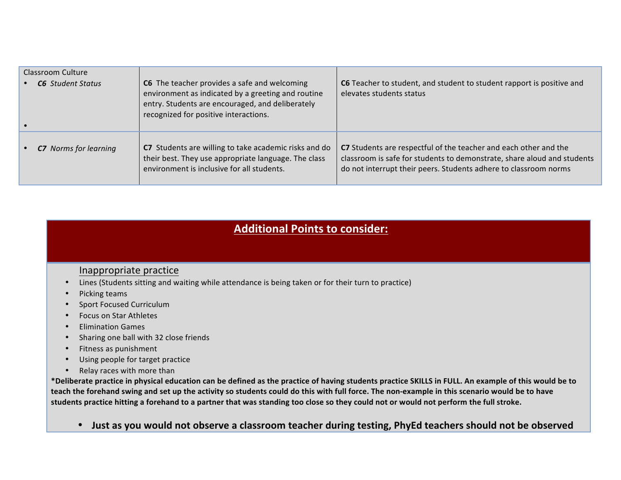| Classroom Culture<br><b>C6</b> Student Status | C6 The teacher provides a safe and welcoming<br>environment as indicated by a greeting and routine<br>entry. Students are encouraged, and deliberately<br>recognized for positive interactions. | C6 Teacher to student, and student to student rapport is positive and<br>elevates students status                                                                                                               |
|-----------------------------------------------|-------------------------------------------------------------------------------------------------------------------------------------------------------------------------------------------------|-----------------------------------------------------------------------------------------------------------------------------------------------------------------------------------------------------------------|
| <b>C7</b> Norms for learning                  | C7 Students are willing to take academic risks and do<br>their best. They use appropriate language. The class<br>environment is inclusive for all students.                                     | C7 Students are respectful of the teacher and each other and the<br>classroom is safe for students to demonstrate, share aloud and students<br>do not interrupt their peers. Students adhere to classroom norms |

## **Additional Points to consider:**

## Inappropriate practice

- Lines (Students sitting and waiting while attendance is being taken or for their turn to practice)
- Picking teams
- Sport Focused Curriculum
- Focus on Star Athletes
- Elimination Games
- Sharing one ball with 32 close friends
- Fitness as punishment
- Using people for target practice
- Relay races with more than

\*Deliberate practice in physical education can be defined as the practice of having students practice SKILLS in FULL. An example of this would be to teach the forehand swing and set up the activity so students could do this with full force. The non-example in this scenario would be to have students practice hitting a forehand to a partner that was standing too close so they could not or would not perform the full stroke.

• Just as you would not observe a classroom teacher during testing, PhyEd teachers should not be observed